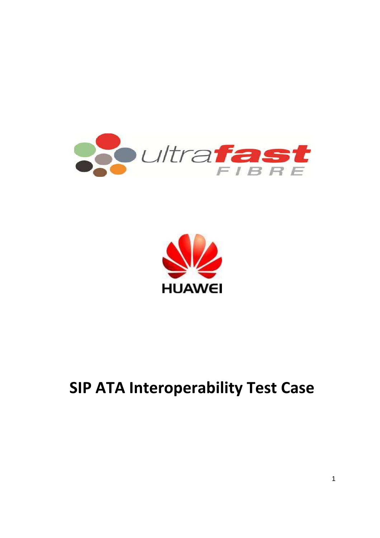

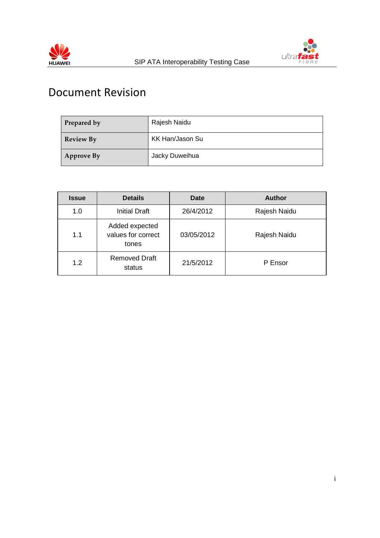



## Document Revision

| Prepared by      | Rajesh Naidu    |
|------------------|-----------------|
| <b>Review By</b> | KK Han/Jason Su |
| Approve By       | Jacky Duweihua  |

| <b>Issue</b> | <b>Details</b>                                | <b>Date</b> | <b>Author</b> |
|--------------|-----------------------------------------------|-------------|---------------|
| 1.0          | <b>Initial Draft</b>                          | 26/4/2012   | Rajesh Naidu  |
| 1.1          | Added expected<br>values for correct<br>tones | 03/05/2012  | Rajesh Naidu  |
| 1.2          | <b>Removed Draft</b><br>status                | 21/5/2012   | P Ensor       |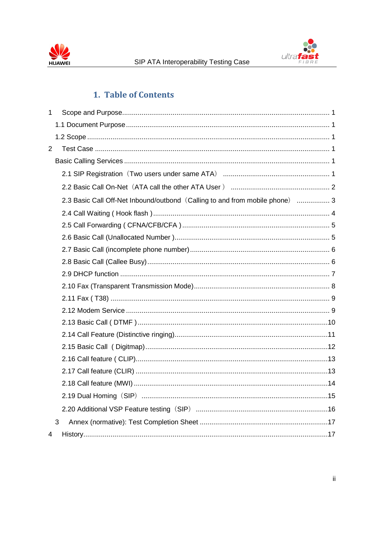



## 1. Table of Contents

| $\mathbf 1$    |   |                                                                              |  |
|----------------|---|------------------------------------------------------------------------------|--|
|                |   |                                                                              |  |
|                |   |                                                                              |  |
| $\overline{2}$ |   |                                                                              |  |
|                |   |                                                                              |  |
|                |   |                                                                              |  |
|                |   |                                                                              |  |
|                |   | 2.3 Basic Call Off-Net Inbound/outbond (Calling to and from mobile phone)  3 |  |
|                |   |                                                                              |  |
|                |   |                                                                              |  |
|                |   |                                                                              |  |
|                |   |                                                                              |  |
|                |   |                                                                              |  |
|                |   |                                                                              |  |
|                |   |                                                                              |  |
|                |   |                                                                              |  |
|                |   |                                                                              |  |
|                |   |                                                                              |  |
|                |   |                                                                              |  |
|                |   |                                                                              |  |
|                |   |                                                                              |  |
|                |   |                                                                              |  |
|                |   |                                                                              |  |
|                |   |                                                                              |  |
|                |   |                                                                              |  |
|                | 3 |                                                                              |  |
| 4              |   |                                                                              |  |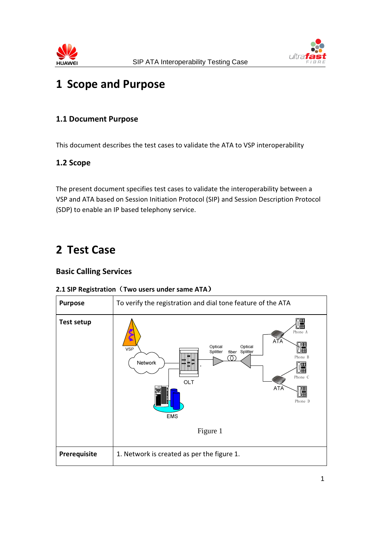



## 1 Scope and Purpose

## 1.1 Document Purpose

This document describes the test cases to validate the ATA to VSP interoperability

## 1.2 Scope

The present document specifies test cases to validate the interoperability between a VSP and ATA based on Session Initiation Protocol (SIP) and Session Description Protocol (SDP) to enable an IP based telephony service.

## 2 Test Case

## Basic Calling Services

#### 2.1 SIP Registration (Two users under same ATA)

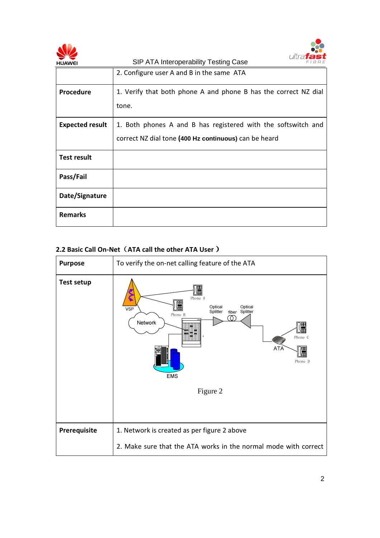



| <b>HUAWEI</b>          | SIP ATA Interoperability Testing Case<br>FIBRE                  |
|------------------------|-----------------------------------------------------------------|
|                        | 2. Configure user A and B in the same ATA                       |
| <b>Procedure</b>       | 1. Verify that both phone A and phone B has the correct NZ dial |
|                        | tone.                                                           |
| <b>Expected result</b> | 1. Both phones A and B has registered with the softswitch and   |
|                        | correct NZ dial tone (400 Hz continuous) can be heard           |
| <b>Test result</b>     |                                                                 |
| Pass/Fail              |                                                                 |
| Date/Signature         |                                                                 |
| <b>Remarks</b>         |                                                                 |

#### 2.2 Basic Call On-Net (ATA call the other ATA User )

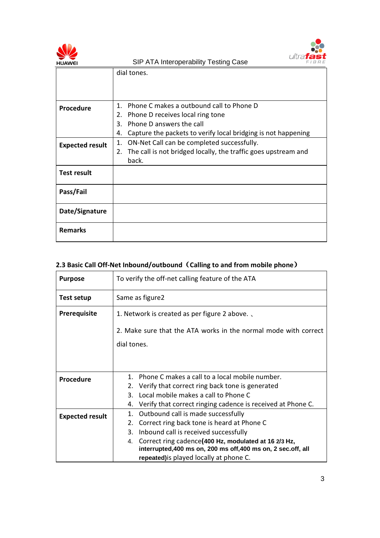



|                        | dial tones.                                                         |  |
|------------------------|---------------------------------------------------------------------|--|
|                        |                                                                     |  |
|                        |                                                                     |  |
|                        |                                                                     |  |
| <b>Procedure</b>       | Phone C makes a outbound call to Phone D<br>$1_{\cdot}$             |  |
|                        | Phone D receives local ring tone<br>2.                              |  |
|                        | Phone D answers the call<br>3.                                      |  |
|                        | Capture the packets to verify local bridging is not happening<br>4. |  |
| <b>Expected result</b> | ON-Net Call can be completed successfully.<br>1.                    |  |
|                        | 2. The call is not bridged locally, the traffic goes upstream and   |  |
|                        | back.                                                               |  |
| <b>Test result</b>     |                                                                     |  |
|                        |                                                                     |  |
| Pass/Fail              |                                                                     |  |
|                        |                                                                     |  |
| Date/Signature         |                                                                     |  |
|                        |                                                                     |  |
| <b>Remarks</b>         |                                                                     |  |
|                        |                                                                     |  |

## 2.3 Basic Call Off-Net Inbound/outbound (Calling to and from mobile phone)

| <b>Purpose</b>         | To verify the off-net calling feature of the ATA                                                                                                                        |  |  |
|------------------------|-------------------------------------------------------------------------------------------------------------------------------------------------------------------------|--|--|
| <b>Test setup</b>      | Same as figure2                                                                                                                                                         |  |  |
| <b>Prerequisite</b>    | 1. Network is created as per figure 2 above.                                                                                                                            |  |  |
|                        | 2. Make sure that the ATA works in the normal mode with correct                                                                                                         |  |  |
|                        | dial tones.                                                                                                                                                             |  |  |
|                        |                                                                                                                                                                         |  |  |
| <b>Procedure</b>       | Phone C makes a call to a local mobile number.<br>$1_{-}$                                                                                                               |  |  |
|                        | 2. Verify that correct ring back tone is generated                                                                                                                      |  |  |
|                        | Local mobile makes a call to Phone C<br>3.                                                                                                                              |  |  |
|                        | 4. Verify that correct ringing cadence is received at Phone C.                                                                                                          |  |  |
| <b>Expected result</b> | Outbound call is made successfully<br>1.                                                                                                                                |  |  |
|                        | Correct ring back tone is heard at Phone C<br>2.                                                                                                                        |  |  |
|                        | 3.<br>Inbound call is received successfully                                                                                                                             |  |  |
|                        | Correct ring cadence(400 Hz, modulated at 16 2/3 Hz,<br>4.<br>interrupted, 400 ms on, 200 ms off, 400 ms on, 2 sec. off, all<br>repeated) is played locally at phone C. |  |  |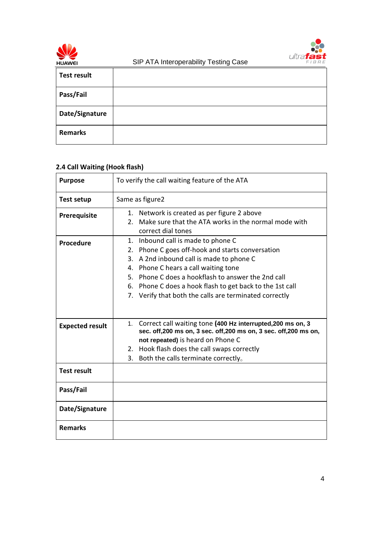



|                    | ັ |
|--------------------|---|
| <b>Test result</b> |   |
| Pass/Fail          |   |
| Date/Signature     |   |
| <b>Remarks</b>     |   |

## 2.4 Call Waiting (Hook flash)

| <b>Purpose</b>         | To verify the call waiting feature of the ATA                                                                                        |  |
|------------------------|--------------------------------------------------------------------------------------------------------------------------------------|--|
| <b>Test setup</b>      | Same as figure2                                                                                                                      |  |
| Prerequisite           | 1. Network is created as per figure 2 above                                                                                          |  |
|                        | 2. Make sure that the ATA works in the normal mode with<br>correct dial tones                                                        |  |
| <b>Procedure</b>       | 1. Inbound call is made to phone C                                                                                                   |  |
|                        | 2. Phone C goes off-hook and starts conversation                                                                                     |  |
|                        | A 2nd inbound call is made to phone C<br>3.                                                                                          |  |
|                        | 4. Phone C hears a call waiting tone                                                                                                 |  |
|                        | 5. Phone C does a hookflash to answer the 2nd call                                                                                   |  |
|                        | 6. Phone C does a hook flash to get back to the 1st call                                                                             |  |
|                        | 7. Verify that both the calls are terminated correctly                                                                               |  |
|                        |                                                                                                                                      |  |
| <b>Expected result</b> | 1. Correct call waiting tone (400 Hz interrupted, 200 ms on, 3<br>sec. off, 200 ms on, 3 sec. off, 200 ms on, 3 sec. off, 200 ms on, |  |
|                        | not repeated) is heard on Phone C                                                                                                    |  |
|                        | 2. Hook flash does the call swaps correctly                                                                                          |  |
|                        | 3. Both the calls terminate correctly.                                                                                               |  |
| <b>Test result</b>     |                                                                                                                                      |  |
| Pass/Fail              |                                                                                                                                      |  |
| Date/Signature         |                                                                                                                                      |  |
| <b>Remarks</b>         |                                                                                                                                      |  |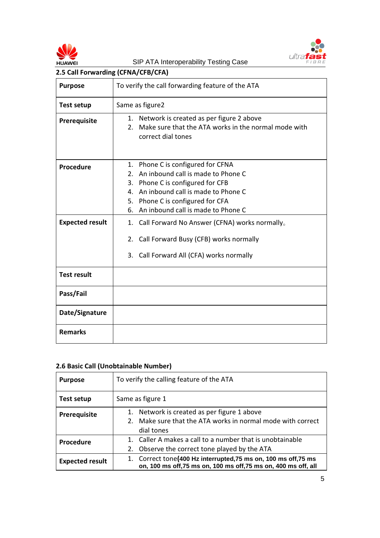



| 2.5 Call Forwarding (CFNA/CFB/CFA) |                                                                                                                                                                                                                                                               |  |
|------------------------------------|---------------------------------------------------------------------------------------------------------------------------------------------------------------------------------------------------------------------------------------------------------------|--|
| <b>Purpose</b>                     | To verify the call forwarding feature of the ATA                                                                                                                                                                                                              |  |
| <b>Test setup</b>                  | Same as figure2                                                                                                                                                                                                                                               |  |
| Prerequisite                       | Network is created as per figure 2 above<br>1.<br>Make sure that the ATA works in the normal mode with<br>2.<br>correct dial tones                                                                                                                            |  |
| <b>Procedure</b>                   | 1. Phone C is configured for CFNA<br>An inbound call is made to Phone C<br>2.<br>Phone C is configured for CFB<br>3.<br>An inbound call is made to Phone C<br>$\mathbf{4}$<br>Phone C is configured for CFA<br>5.<br>An inbound call is made to Phone C<br>6. |  |
| <b>Expected result</b>             | Call Forward No Answer (CFNA) works normally.<br>1.<br>Call Forward Busy (CFB) works normally<br>2.<br>3. Call Forward All (CFA) works normally                                                                                                               |  |
| <b>Test result</b>                 |                                                                                                                                                                                                                                                               |  |
| Pass/Fail                          |                                                                                                                                                                                                                                                               |  |
| Date/Signature                     |                                                                                                                                                                                                                                                               |  |
| <b>Remarks</b>                     |                                                                                                                                                                                                                                                               |  |

#### 2.6 Basic Call (Unobtainable Number)

| <b>Purpose</b>         | To verify the calling feature of the ATA                                                                                           |  |
|------------------------|------------------------------------------------------------------------------------------------------------------------------------|--|
| Test setup             | Same as figure 1                                                                                                                   |  |
| <b>Prerequisite</b>    | 1. Network is created as per figure 1 above                                                                                        |  |
|                        | 2. Make sure that the ATA works in normal mode with correct                                                                        |  |
|                        | dial tones                                                                                                                         |  |
| <b>Procedure</b>       | 1. Caller A makes a call to a number that is unobtainable                                                                          |  |
|                        | 2. Observe the correct tone played by the ATA                                                                                      |  |
| <b>Expected result</b> | 1. Correct tone(400 Hz interrupted, 75 ms on, 100 ms off, 75 ms<br>on, 100 ms off, 75 ms on, 100 ms off, 75 ms on, 400 ms off, all |  |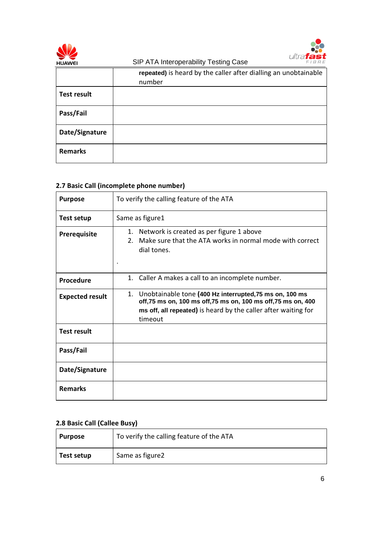



|                    | repeated) is heard by the caller after dialling an unobtainable<br>number |
|--------------------|---------------------------------------------------------------------------|
| <b>Test result</b> |                                                                           |
| Pass/Fail          |                                                                           |
| Date/Signature     |                                                                           |
| <b>Remarks</b>     |                                                                           |

## 2.7 Basic Call (incomplete phone number)

| <b>Purpose</b>         | To verify the calling feature of the ATA                                                                                                                                                               |  |
|------------------------|--------------------------------------------------------------------------------------------------------------------------------------------------------------------------------------------------------|--|
| Test setup             | Same as figure1                                                                                                                                                                                        |  |
| <b>Prerequisite</b>    | 1. Network is created as per figure 1 above<br>Make sure that the ATA works in normal mode with correct<br>$2^{\circ}$<br>dial tones.                                                                  |  |
| <b>Procedure</b>       | 1. Caller A makes a call to an incomplete number.                                                                                                                                                      |  |
| <b>Expected result</b> | 1. Unobtainable tone (400 Hz interrupted, 75 ms on, 100 ms<br>off,75 ms on, 100 ms off,75 ms on, 100 ms off,75 ms on, 400<br>ms off, all repeated) is heard by the caller after waiting for<br>timeout |  |
| <b>Test result</b>     |                                                                                                                                                                                                        |  |
| Pass/Fail              |                                                                                                                                                                                                        |  |
| Date/Signature         |                                                                                                                                                                                                        |  |
| <b>Remarks</b>         |                                                                                                                                                                                                        |  |

## 2.8 Basic Call (Callee Busy)

| Purpose    | To verify the calling feature of the ATA |
|------------|------------------------------------------|
| Test setup | Same as figure2                          |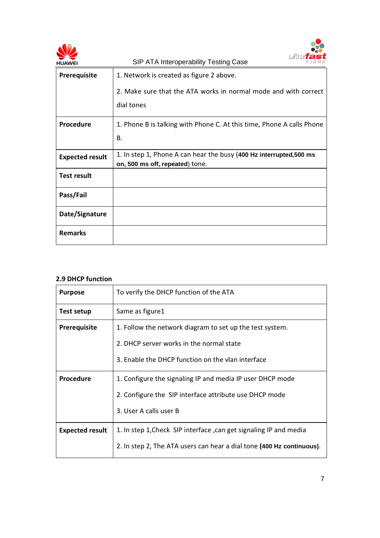



#### 2.9 DHCP function

Remarks

| <b>Purpose</b>         | To verify the DHCP function of the ATA                                |
|------------------------|-----------------------------------------------------------------------|
| <b>Test setup</b>      | Same as figure1                                                       |
| <b>Prerequisite</b>    | 1. Follow the network diagram to set up the test system.              |
|                        | 2. DHCP server works in the normal state                              |
|                        | 3. Enable the DHCP function on the vlan interface                     |
| <b>Procedure</b>       | 1. Configure the signaling IP and media IP user DHCP mode             |
|                        | 2. Configure the SIP interface attribute use DHCP mode                |
|                        | 3. User A calls user B                                                |
| <b>Expected result</b> | 1. In step 1, Check SIP interface, can get signaling IP and media     |
|                        | 2. In step 2, The ATA users can hear a dial tone (400 Hz continuous). |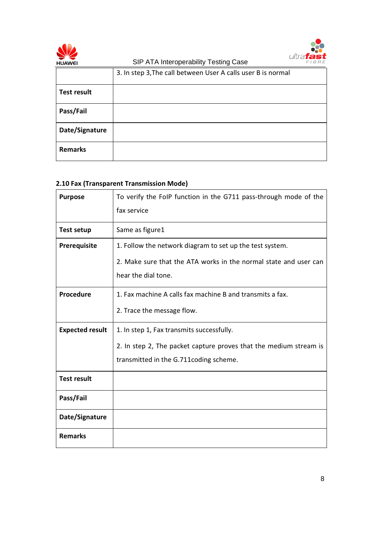

SIP ATA Interoperability Testing Case



|                    | .<br>. <u>.</u>                                              |
|--------------------|--------------------------------------------------------------|
|                    | 3. In step 3, The call between User A calls user B is normal |
| <b>Test result</b> |                                                              |
| Pass/Fail          |                                                              |
| Date/Signature     |                                                              |
| <b>Remarks</b>     |                                                              |

## 2.10 Fax (Transparent Transmission Mode)

| <b>Purpose</b>         | To verify the FoIP function in the G711 pass-through mode of the  |
|------------------------|-------------------------------------------------------------------|
|                        | fax service                                                       |
| <b>Test setup</b>      | Same as figure1                                                   |
| <b>Prerequisite</b>    | 1. Follow the network diagram to set up the test system.          |
|                        | 2. Make sure that the ATA works in the normal state and user can  |
|                        | hear the dial tone.                                               |
| <b>Procedure</b>       | 1. Fax machine A calls fax machine B and transmits a fax.         |
|                        | 2. Trace the message flow.                                        |
| <b>Expected result</b> | 1. In step 1, Fax transmits successfully.                         |
|                        | 2. In step 2, The packet capture proves that the medium stream is |
|                        | transmitted in the G.711 coding scheme.                           |
| <b>Test result</b>     |                                                                   |
| Pass/Fail              |                                                                   |
| Date/Signature         |                                                                   |
| <b>Remarks</b>         |                                                                   |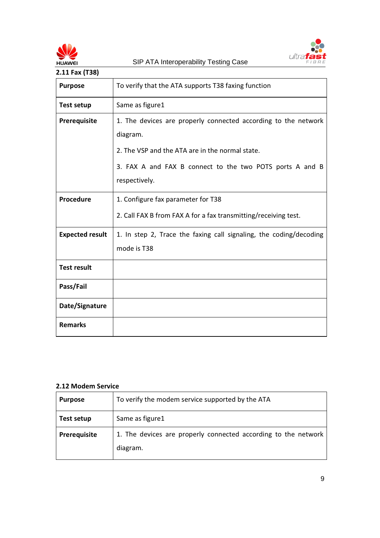



| 2.11 Fax (T38)         |                                                                                                                                                                                                            |
|------------------------|------------------------------------------------------------------------------------------------------------------------------------------------------------------------------------------------------------|
| <b>Purpose</b>         | To verify that the ATA supports T38 faxing function                                                                                                                                                        |
| <b>Test setup</b>      | Same as figure1                                                                                                                                                                                            |
| Prerequisite           | 1. The devices are properly connected according to the network<br>diagram.<br>2. The VSP and the ATA are in the normal state.<br>3. FAX A and FAX B connect to the two POTS ports A and B<br>respectively. |
| Procedure              | 1. Configure fax parameter for T38<br>2. Call FAX B from FAX A for a fax transmitting/receiving test.                                                                                                      |
| <b>Expected result</b> | 1. In step 2, Trace the faxing call signaling, the coding/decoding<br>mode is T38                                                                                                                          |
| <b>Test result</b>     |                                                                                                                                                                                                            |
| Pass/Fail              |                                                                                                                                                                                                            |
| Date/Signature         |                                                                                                                                                                                                            |
| <b>Remarks</b>         |                                                                                                                                                                                                            |

#### 2.12 Modem Service

| <b>Purpose</b> | To verify the modem service supported by the ATA                           |
|----------------|----------------------------------------------------------------------------|
| Test setup     | Same as figure1                                                            |
| Prerequisite   | 1. The devices are properly connected according to the network<br>diagram. |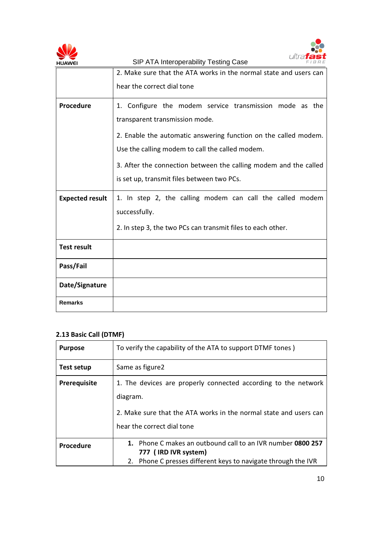



| HUAWEI                 | OIF ATA INCRUPCIADING TESNING CASE                                |
|------------------------|-------------------------------------------------------------------|
|                        | 2. Make sure that the ATA works in the normal state and users can |
|                        | hear the correct dial tone                                        |
| Procedure              | 1. Configure the modem service transmission mode as the           |
|                        | transparent transmission mode.                                    |
|                        | 2. Enable the automatic answering function on the called modem.   |
|                        | Use the calling modem to call the called modem.                   |
|                        | 3. After the connection between the calling modem and the called  |
|                        | is set up, transmit files between two PCs.                        |
| <b>Expected result</b> | 1. In step 2, the calling modem can call the called modem         |
|                        | successfully.                                                     |
|                        | 2. In step 3, the two PCs can transmit files to each other.       |
| <b>Test result</b>     |                                                                   |
| Pass/Fail              |                                                                   |
| Date/Signature         |                                                                   |
| <b>Remarks</b>         |                                                                   |

## 2.13 Basic Call (DTMF)

| <b>Purpose</b>   | To verify the capability of the ATA to support DTMF tones)                            |
|------------------|---------------------------------------------------------------------------------------|
| Test setup       | Same as figure <sub>2</sub>                                                           |
| Prerequisite     | 1. The devices are properly connected according to the network                        |
|                  | diagram.                                                                              |
|                  | 2. Make sure that the ATA works in the normal state and users can                     |
|                  | hear the correct dial tone                                                            |
| <b>Procedure</b> | 1. Phone C makes an outbound call to an IVR number 0800 257                           |
|                  | 777 (IRD IVR system)<br>2. Phone C presses different keys to navigate through the IVR |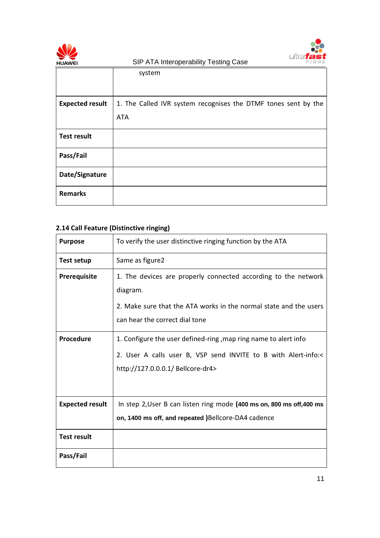



|                        | system                                                         |
|------------------------|----------------------------------------------------------------|
|                        |                                                                |
| <b>Expected result</b> | 1. The Called IVR system recognises the DTMF tones sent by the |
|                        | <b>ATA</b>                                                     |
| <b>Test result</b>     |                                                                |
| Pass/Fail              |                                                                |
| Date/Signature         |                                                                |
| <b>Remarks</b>         |                                                                |

## 2.14 Call Feature (Distinctive ringing)

| <b>Purpose</b>         | To verify the user distinctive ringing function by the ATA            |
|------------------------|-----------------------------------------------------------------------|
| <b>Test setup</b>      | Same as figure2                                                       |
| <b>Prerequisite</b>    | 1. The devices are properly connected according to the network        |
|                        | diagram.                                                              |
|                        | 2. Make sure that the ATA works in the normal state and the users     |
|                        | can hear the correct dial tone                                        |
| Procedure              | 1. Configure the user defined-ring, map ring name to alert info       |
|                        | 2. User A calls user B, VSP send INVITE to B with Alert-info:<        |
|                        | http://127.0.0.0.1/ Bellcore-dr4>                                     |
|                        |                                                                       |
| <b>Expected result</b> | In step 2, User B can listen ring mode (400 ms on, 800 ms off, 400 ms |
|                        | on, 1400 ms off, and repeated )Bellcore-DA4 cadence                   |
| <b>Test result</b>     |                                                                       |
| Pass/Fail              |                                                                       |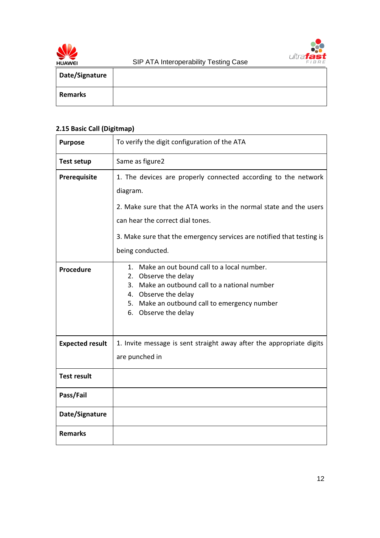



| Date/Signature |  |
|----------------|--|
| <b>Remarks</b> |  |

## 2.15 Basic Call (Digitmap)

| <b>Purpose</b>         | To verify the digit configuration of the ATA                                                                                                                                                                                     |
|------------------------|----------------------------------------------------------------------------------------------------------------------------------------------------------------------------------------------------------------------------------|
| <b>Test setup</b>      | Same as figure2                                                                                                                                                                                                                  |
| Prerequisite           | 1. The devices are properly connected according to the network<br>diagram.<br>2. Make sure that the ATA works in the normal state and the users                                                                                  |
|                        | can hear the correct dial tones.                                                                                                                                                                                                 |
|                        | 3. Make sure that the emergency services are notified that testing is<br>being conducted.                                                                                                                                        |
| Procedure              | Make an out bound call to a local number.<br>$1_{-}$<br>2. Observe the delay<br>Make an outbound call to a national number<br>3.<br>4. Observe the delay<br>5. Make an outbound call to emergency number<br>6. Observe the delay |
| <b>Expected result</b> | 1. Invite message is sent straight away after the appropriate digits<br>are punched in                                                                                                                                           |
| <b>Test result</b>     |                                                                                                                                                                                                                                  |
| Pass/Fail              |                                                                                                                                                                                                                                  |
| Date/Signature         |                                                                                                                                                                                                                                  |
| <b>Remarks</b>         |                                                                                                                                                                                                                                  |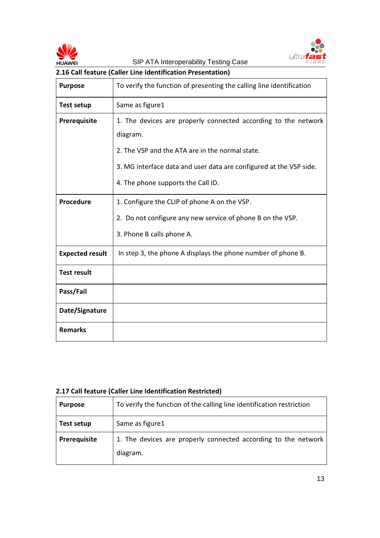



## 2.16 Call feature (Caller Line Identification Presentation)

| <b>Purpose</b>         | To verify the function of presenting the calling line identification |  |  |
|------------------------|----------------------------------------------------------------------|--|--|
| Test setup             | Same as figure1                                                      |  |  |
| Prerequisite           | 1. The devices are properly connected according to the network       |  |  |
|                        | diagram.                                                             |  |  |
|                        | 2. The VSP and the ATA are in the normal state.                      |  |  |
|                        | 3. MG interface data and user data are configured at the VSP side.   |  |  |
|                        | 4. The phone supports the Call ID.                                   |  |  |
| <b>Procedure</b>       | 1. Configure the CLIP of phone A on the VSP.                         |  |  |
|                        | 2. Do not configure any new service of phone B on the VSP.           |  |  |
|                        | 3. Phone B calls phone A.                                            |  |  |
| <b>Expected result</b> | In step 3, the phone A displays the phone number of phone B.         |  |  |
| <b>Test result</b>     |                                                                      |  |  |
| Pass/Fail              |                                                                      |  |  |
| Date/Signature         |                                                                      |  |  |
| <b>Remarks</b>         |                                                                      |  |  |

## 2.17 Call feature (Caller Line Identification Restricted)

| <b>Purpose</b> | To verify the function of the calling line identification restriction      |
|----------------|----------------------------------------------------------------------------|
| Test setup     | Same as figure1                                                            |
| Prerequisite   | 1. The devices are properly connected according to the network<br>diagram. |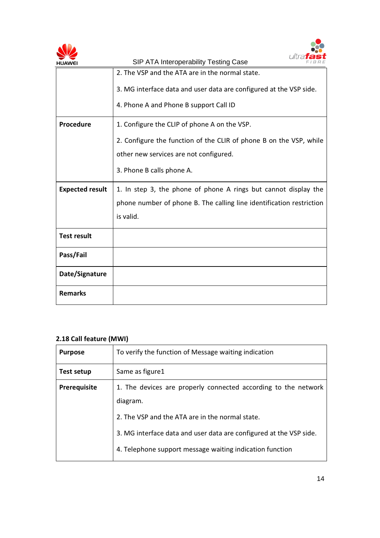



| <b>HUAWEI</b>          | SIP ATA Interoperability Testing Case<br>FIBRE                       |  |  |  |
|------------------------|----------------------------------------------------------------------|--|--|--|
|                        | 2. The VSP and the ATA are in the normal state.                      |  |  |  |
|                        | 3. MG interface data and user data are configured at the VSP side.   |  |  |  |
|                        | 4. Phone A and Phone B support Call ID                               |  |  |  |
| <b>Procedure</b>       | 1. Configure the CLIP of phone A on the VSP.                         |  |  |  |
|                        | 2. Configure the function of the CLIR of phone B on the VSP, while   |  |  |  |
|                        | other new services are not configured.                               |  |  |  |
|                        | 3. Phone B calls phone A.                                            |  |  |  |
| <b>Expected result</b> | 1. In step 3, the phone of phone A rings but cannot display the      |  |  |  |
|                        | phone number of phone B. The calling line identification restriction |  |  |  |
|                        | is valid.                                                            |  |  |  |
| <b>Test result</b>     |                                                                      |  |  |  |
| Pass/Fail              |                                                                      |  |  |  |
| Date/Signature         |                                                                      |  |  |  |
| <b>Remarks</b>         |                                                                      |  |  |  |

## 2.18 Call feature (MWI)

| <b>Purpose</b>      | To verify the function of Message waiting indication               |  |  |
|---------------------|--------------------------------------------------------------------|--|--|
| <b>Test setup</b>   | Same as figure1                                                    |  |  |
| <b>Prerequisite</b> | 1. The devices are properly connected according to the network     |  |  |
|                     | diagram.                                                           |  |  |
|                     | 2. The VSP and the ATA are in the normal state.                    |  |  |
|                     | 3. MG interface data and user data are configured at the VSP side. |  |  |
|                     | 4. Telephone support message waiting indication function           |  |  |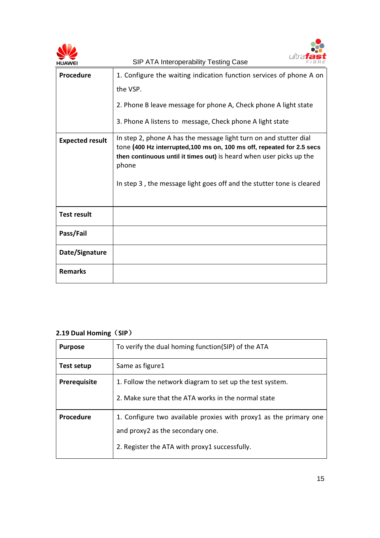|                        | SIP ATA Interoperability Testing Case                                                                                                       |
|------------------------|---------------------------------------------------------------------------------------------------------------------------------------------|
| Procedure              | 1. Configure the waiting indication function services of phone A on<br>the VSP.                                                             |
|                        | 2. Phone B leave message for phone A, Check phone A light state<br>3. Phone A listens to message, Check phone A light state                 |
| <b>Expected result</b> | In step 2, phone A has the message light turn on and stutter dial<br>tone (400 Hz interrupted, 100 ms on, 100 ms off, repeated for 2.5 secs |
|                        | then continuous until it times out) is heard when user picks up the<br>phone                                                                |
|                        | In step 3, the message light goes off and the stutter tone is cleared                                                                       |
| <b>Test result</b>     |                                                                                                                                             |
| Pass/Fail              |                                                                                                                                             |
| Date/Signature         |                                                                                                                                             |
| <b>Remarks</b>         |                                                                                                                                             |

## 2.19 Dual Homing (SIP)

| <b>Purpose</b>      | To verify the dual homing function(SIP) of the ATA                |  |
|---------------------|-------------------------------------------------------------------|--|
| Test setup          | Same as figure1                                                   |  |
| <b>Prerequisite</b> | 1. Follow the network diagram to set up the test system.          |  |
|                     | 2. Make sure that the ATA works in the normal state               |  |
| <b>Procedure</b>    | 1. Configure two available proxies with proxy1 as the primary one |  |
|                     | and proxy2 as the secondary one.                                  |  |
|                     | 2. Register the ATA with proxy1 successfully.                     |  |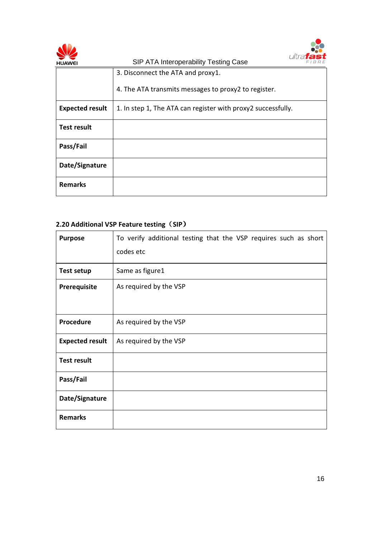



| <b>HUAWEI</b>          | SIP ATA Interoperability Testing Case<br>FIBRE               |
|------------------------|--------------------------------------------------------------|
|                        | 3. Disconnect the ATA and proxy1.                            |
|                        | 4. The ATA transmits messages to proxy2 to register.         |
| <b>Expected result</b> | 1. In step 1, The ATA can register with proxy2 successfully. |
| <b>Test result</b>     |                                                              |
| Pass/Fail              |                                                              |
| Date/Signature         |                                                              |
| <b>Remarks</b>         |                                                              |

## 2.20 Additional VSP Feature testing (SIP)

| <b>Purpose</b>         | To verify additional testing that the VSP requires such as short<br>codes etc |  |  |
|------------------------|-------------------------------------------------------------------------------|--|--|
| <b>Test setup</b>      | Same as figure1                                                               |  |  |
| Prerequisite           | As required by the VSP                                                        |  |  |
| Procedure              | As required by the VSP                                                        |  |  |
| <b>Expected result</b> | As required by the VSP                                                        |  |  |
| <b>Test result</b>     |                                                                               |  |  |
| Pass/Fail              |                                                                               |  |  |
| Date/Signature         |                                                                               |  |  |
| <b>Remarks</b>         |                                                                               |  |  |